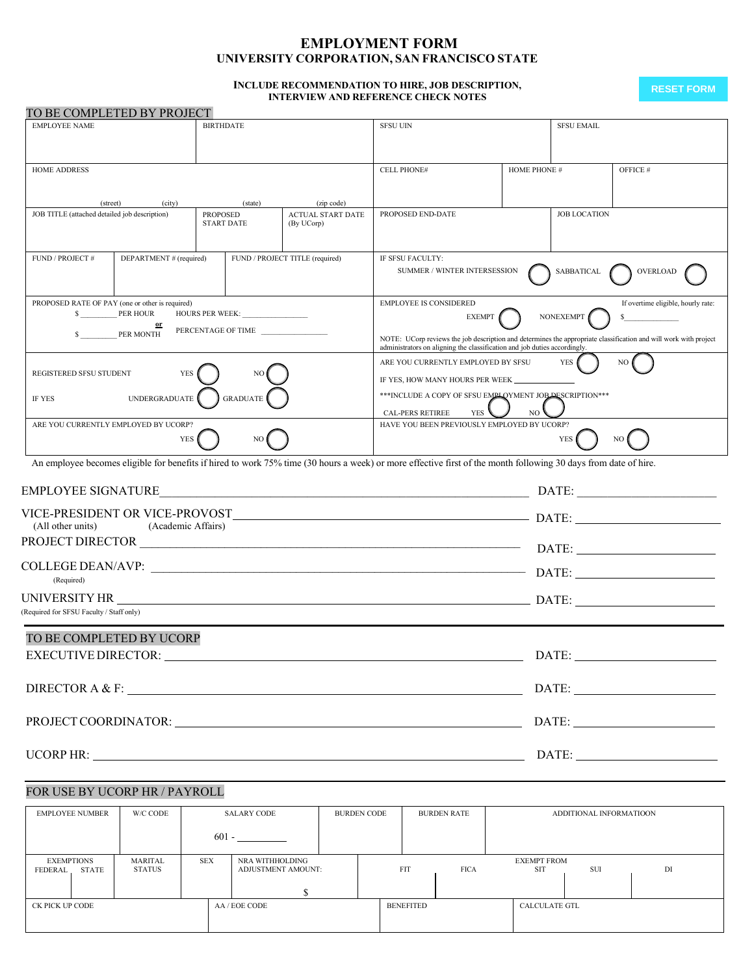# **EMPLOYMENT FORM UNIVERSITY CORPORATION, SAN FRANCISCO STATE**

#### **INCLUDE RECOMMENDATION TO HIRE, JOB DESCRIPTION, INTERVIEW AND REFERENCE CHECK NOTES**

**RESET FORM**

| TO BE COMPLETED BY PROJECT                                                                                                                                                                                                     |                                           |                            |                                        |                                                                                                                                                                                              |                |                     |                                    |  |  |
|--------------------------------------------------------------------------------------------------------------------------------------------------------------------------------------------------------------------------------|-------------------------------------------|----------------------------|----------------------------------------|----------------------------------------------------------------------------------------------------------------------------------------------------------------------------------------------|----------------|---------------------|------------------------------------|--|--|
| <b>EMPLOYEE NAME</b><br><b>BIRTHDATE</b>                                                                                                                                                                                       |                                           |                            |                                        | <b>SFSU UIN</b>                                                                                                                                                                              |                | <b>SFSU EMAIL</b>   |                                    |  |  |
|                                                                                                                                                                                                                                |                                           |                            |                                        |                                                                                                                                                                                              |                |                     |                                    |  |  |
|                                                                                                                                                                                                                                |                                           |                            |                                        |                                                                                                                                                                                              |                |                     |                                    |  |  |
| <b>HOME ADDRESS</b>                                                                                                                                                                                                            |                                           |                            |                                        | <b>CELL PHONE#</b>                                                                                                                                                                           | HOME PHONE #   |                     | OFFICE #                           |  |  |
|                                                                                                                                                                                                                                |                                           |                            |                                        |                                                                                                                                                                                              |                |                     |                                    |  |  |
| (street)<br>JOB TITLE (attached detailed job description)                                                                                                                                                                      | (city)                                    | (state)<br><b>PROPOSED</b> | (zip code)<br><b>ACTUAL START DATE</b> | PROPOSED END-DATE                                                                                                                                                                            |                | <b>JOB LOCATION</b> |                                    |  |  |
|                                                                                                                                                                                                                                |                                           | <b>START DATE</b>          | (By UCorp)                             |                                                                                                                                                                                              |                |                     |                                    |  |  |
|                                                                                                                                                                                                                                |                                           |                            |                                        |                                                                                                                                                                                              |                |                     |                                    |  |  |
| FUND / PROJECT #                                                                                                                                                                                                               | DEPARTMENT # (required)                   |                            | FUND / PROJECT TITLE (required)        | IF SFSU FACULTY:<br>SUMMER / WINTER INTERSESSION                                                                                                                                             |                |                     |                                    |  |  |
|                                                                                                                                                                                                                                |                                           |                            |                                        |                                                                                                                                                                                              |                | SABBATICAL          | OVERLOAD                           |  |  |
| PROPOSED RATE OF PAY (one or other is required)                                                                                                                                                                                |                                           |                            |                                        | <b>EMPLOYEE IS CONSIDERED</b>                                                                                                                                                                |                |                     | If overtime eligible, hourly rate: |  |  |
| \$                                                                                                                                                                                                                             | <b>PER HOUR</b>                           | HOURS PER WEEK:            |                                        | <b>NONEXEMPT</b><br><b>EXEMPT</b><br>s                                                                                                                                                       |                |                     |                                    |  |  |
|                                                                                                                                                                                                                                | PER MONTH                                 | PERCENTAGE OF TIME         |                                        |                                                                                                                                                                                              |                |                     |                                    |  |  |
|                                                                                                                                                                                                                                |                                           |                            |                                        | NOTE: UCorp reviews the job description and determines the appropriate classification and will work with project<br>administrators on aligning the classification and job duties accordingly |                |                     |                                    |  |  |
| REGISTERED SFSU STUDENT                                                                                                                                                                                                        | <b>YES</b>                                |                            |                                        | ARE YOU CURRENTLY EMPLOYED BY SFSU                                                                                                                                                           |                | <b>YES</b>          | NO.                                |  |  |
|                                                                                                                                                                                                                                |                                           |                            |                                        | IF YES, HOW MANY HOURS PER WEEK ______                                                                                                                                                       |                |                     |                                    |  |  |
| IF YES                                                                                                                                                                                                                         | $\label{thm:unre} \textsc{UNDERGRADUATE}$ | <b>GRADUATE</b>            |                                        | *** INCLUDE A COPY OF SFSU EMPLOYMENT JOB DESCRIPTION***                                                                                                                                     |                |                     |                                    |  |  |
|                                                                                                                                                                                                                                |                                           |                            |                                        | YES<br>CAL-PERS RETIREE                                                                                                                                                                      | N <sub>O</sub> |                     |                                    |  |  |
| ARE YOU CURRENTLY EMPLOYED BY UCORP?                                                                                                                                                                                           |                                           |                            |                                        | HAVE YOU BEEN PREVIOUSLY EMPLOYED BY UCORP?                                                                                                                                                  |                |                     |                                    |  |  |
|                                                                                                                                                                                                                                | <b>YES</b>                                | NO                         |                                        |                                                                                                                                                                                              |                | <b>YES</b>          | NO                                 |  |  |
|                                                                                                                                                                                                                                |                                           |                            |                                        | An employee becomes eligible for benefits if hired to work 75% time (30 hours a week) or more effective first of the month following 30 days from date of hire.                              |                |                     |                                    |  |  |
| EMPLOYEE SIGNATURE                                                                                                                                                                                                             |                                           |                            |                                        |                                                                                                                                                                                              |                |                     |                                    |  |  |
|                                                                                                                                                                                                                                |                                           |                            |                                        |                                                                                                                                                                                              |                |                     |                                    |  |  |
| (All other units)                                                                                                                                                                                                              | (Academic Affairs)                        |                            |                                        |                                                                                                                                                                                              |                |                     |                                    |  |  |
|                                                                                                                                                                                                                                |                                           |                            |                                        |                                                                                                                                                                                              |                |                     |                                    |  |  |
|                                                                                                                                                                                                                                |                                           |                            |                                        |                                                                                                                                                                                              |                |                     |                                    |  |  |
|                                                                                                                                                                                                                                |                                           |                            |                                        |                                                                                                                                                                                              |                |                     |                                    |  |  |
| (Required)                                                                                                                                                                                                                     |                                           |                            |                                        |                                                                                                                                                                                              |                |                     |                                    |  |  |
|                                                                                                                                                                                                                                |                                           |                            |                                        |                                                                                                                                                                                              |                |                     |                                    |  |  |
| (Required for SFSU Faculty / Staff only)                                                                                                                                                                                       |                                           |                            |                                        |                                                                                                                                                                                              |                |                     |                                    |  |  |
| TO BE COMPLETED BY UCORP                                                                                                                                                                                                       |                                           |                            |                                        |                                                                                                                                                                                              |                |                     |                                    |  |  |
| <b>EXECUTIVE DIRECTOR:</b>                                                                                                                                                                                                     |                                           |                            |                                        |                                                                                                                                                                                              |                | DATE:               |                                    |  |  |
| DIRECTOR A & F:                                                                                                                                                                                                                |                                           |                            |                                        |                                                                                                                                                                                              |                |                     |                                    |  |  |
|                                                                                                                                                                                                                                |                                           |                            |                                        |                                                                                                                                                                                              |                |                     |                                    |  |  |
| PROJECT COORDINATOR: Decree and the contract of the contract of the contract of the contract of the contract of the contract of the contract of the contract of the contract of the contract of the contract of the contract o |                                           |                            |                                        |                                                                                                                                                                                              |                |                     |                                    |  |  |
|                                                                                                                                                                                                                                |                                           |                            |                                        |                                                                                                                                                                                              |                |                     |                                    |  |  |
|                                                                                                                                                                                                                                |                                           |                            |                                        | UCORP HR: $\qquad \qquad$ DATE: $\qquad \qquad$ DATE:                                                                                                                                        |                |                     |                                    |  |  |
|                                                                                                                                                                                                                                |                                           |                            |                                        |                                                                                                                                                                                              |                |                     |                                    |  |  |
|                                                                                                                                                                                                                                |                                           |                            |                                        |                                                                                                                                                                                              |                |                     |                                    |  |  |

# FOR USE BY UCORP HR / PAYROLL

| EMPLOYEE NUMBER                       | W/C CODE          |            | SALARY CODE                           | <b>BURDEN CODE</b> |                  | <b>BURDEN RATE</b> |                                  | ADDITIONAL INFORMATIOON |    |
|---------------------------------------|-------------------|------------|---------------------------------------|--------------------|------------------|--------------------|----------------------------------|-------------------------|----|
|                                       |                   | $601 -$    |                                       |                    |                  |                    |                                  |                         |    |
| <b>EXEMPTIONS</b><br>STATE<br>FEDERAL | MARITAL<br>STATUS | <b>SEX</b> | NRA WITHHOLDING<br>ADJUSTMENT AMOUNT: |                    | <b>FIT</b>       | <b>FICA</b>        | <b>EXEMPT FROM</b><br><b>SIT</b> | <b>SUI</b>              | DI |
| CK PICK UP CODE                       |                   |            | AA / EOE CODE                         |                    | <b>BENEFITED</b> |                    | CALCULATE GTL                    |                         |    |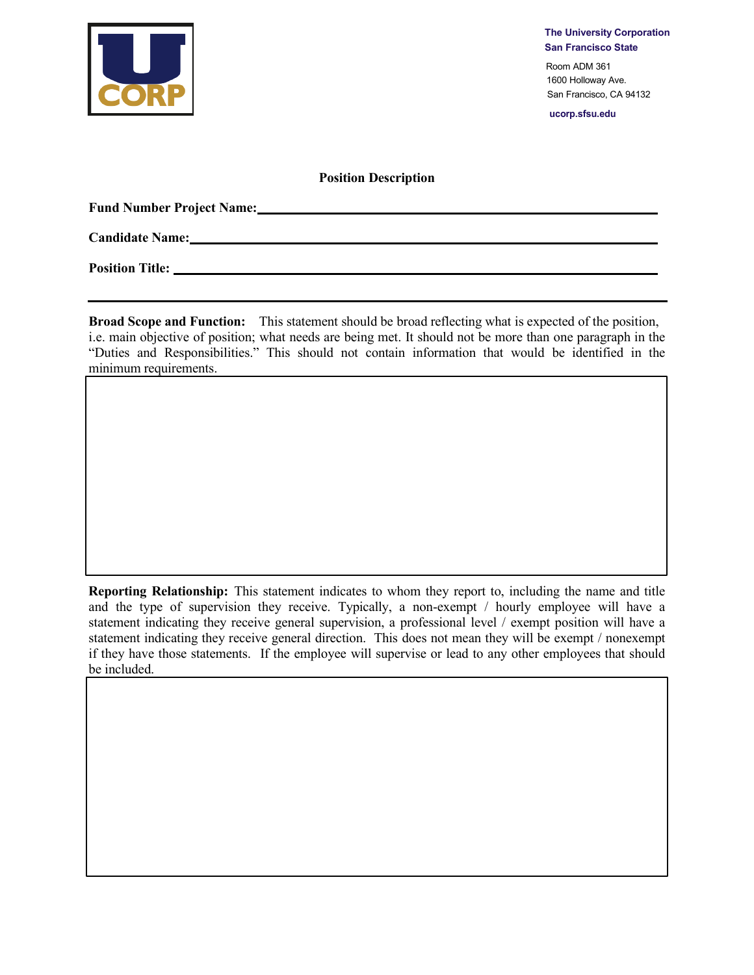

**The University Corporation San Francisco State**

Room ADM 361 1600 Holloway Ave. San Francisco, CA 94132

**ucorp.sfsu.edu**

## **Position Description**

**Fund Number Project Name:**

**Candidate Name:** 

**Position Title:** 

**Broad Scope and Function:** This statement should be broad reflecting what is expected of the position, i.e. main objective of position; what needs are being met. It should not be more than one paragraph in the "Duties and Responsibilities." This should not contain information that would be identified in the minimum requirements.

**Reporting Relationship:** This statement indicates to whom they report to, including the name and title and the type of supervision they receive. Typically, a non-exempt / hourly employee will have a statement indicating they receive general supervision, a professional level / exempt position will have a statement indicating they receive general direction. This does not mean they will be exempt / nonexempt if they have those statements. If the employee will supervise or lead to any other employees that should be included.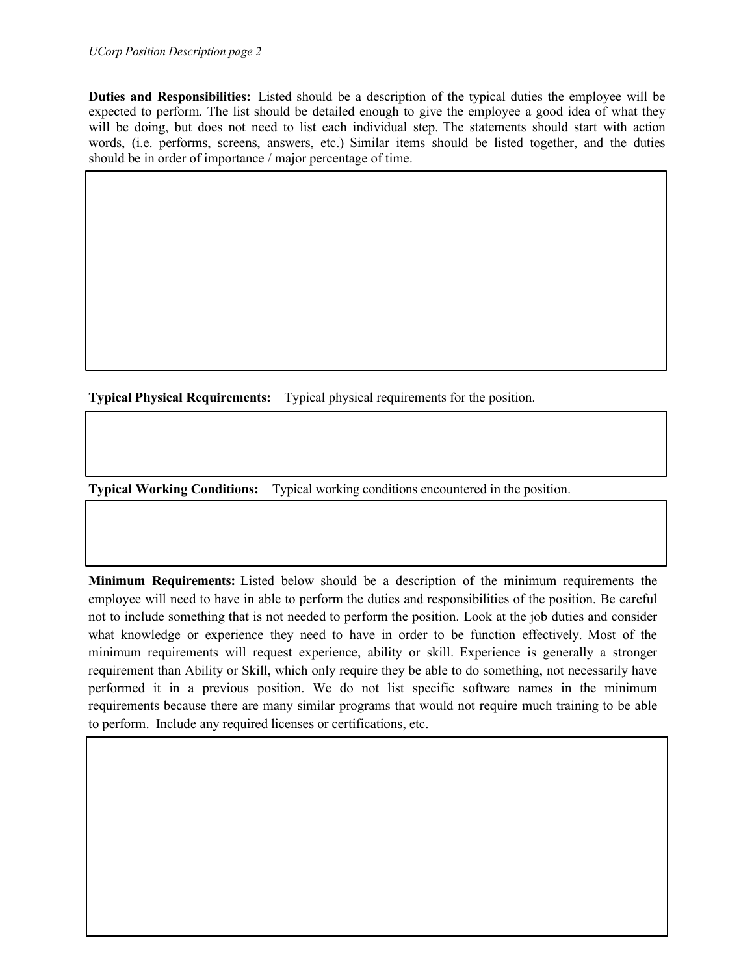## *UCorp Position Description page 2*

**Duties and Responsibilities:** Listed should be a description of the typical duties the employee will be expected to perform. The list should be detailed enough to give the employee a good idea of what they will be doing, but does not need to list each individual step. The statements should start with action words, (i.e. performs, screens, answers, etc.) Similar items should be listed together, and the duties should be in order of importance / major percentage of time.

**Typical Physical Requirements:** Typical physical requirements for the position.

**Typical Working Conditions:** Typical working conditions encountered in the position.

**Minimum Requirements:** Listed below should be a description of the minimum requirements the employee will need to have in able to perform the duties and responsibilities of the position. Be careful not to include something that is not needed to perform the position. Look at the job duties and consider what knowledge or experience they need to have in order to be function effectively. Most of the minimum requirements will request experience, ability or skill. Experience is generally a stronger requirement than Ability or Skill, which only require they be able to do something, not necessarily have performed it in a previous position. We do not list specific software names in the minimum requirements because there are many similar programs that would not require much training to be able to perform. Include any required licenses or certifications, etc.